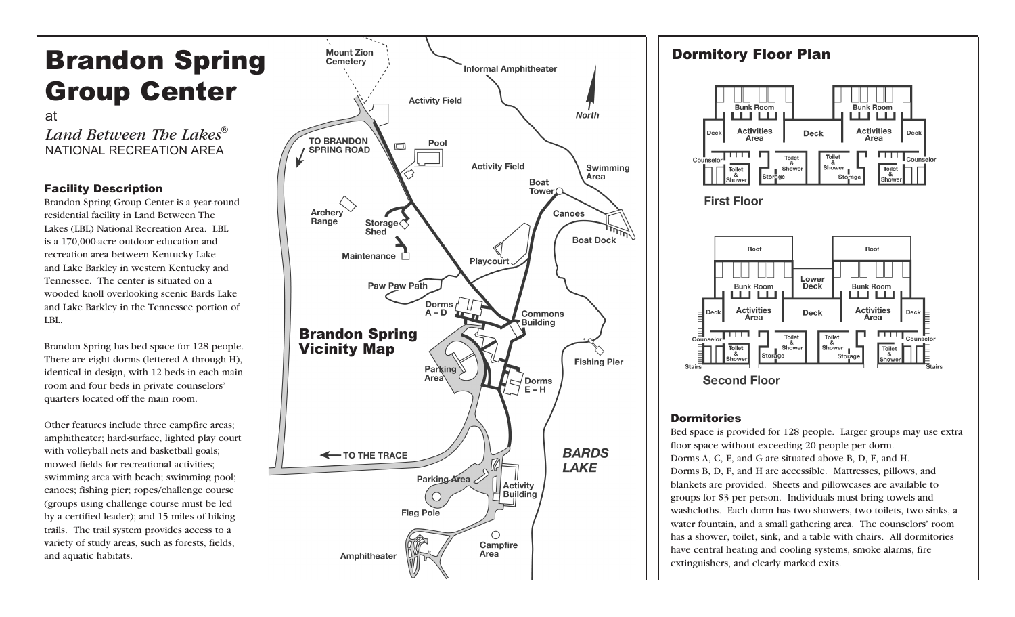# Brandon Spring Group Center

at

*Land Between The Lakes* ®NATIONAL RECREATION AREA

## Facility Description

Brandon Spring Group Center is a year-round residential facility in Land Between The Lakes (LBL) National Recreation Area. LBL is a 170,000-acre outdoor education and recreation area between Kentucky Lake and Lake Barkley in western Kentucky and Tennessee. The center is situated on a wooded knoll overlooking scenic Bards Lake and Lake Barkley in the Tennessee portion of LBL.

Brandon Spring has bed space for 128 people. There are eight dorms (lettered A through H), identical in design, with 12 beds in each main room and four beds in private counselors' quarters located off the main room.

Other features include three campfire areas; amphitheater; hard-surface, lighted play court with volleyball nets and basketball goals; mowed fields for recreational activities; swimming area with beach; swimming pool; canoes; fishing pier; ropes/challenge course (groups using challenge course must be led by a certified leader); and 15 miles of hiking trails. The trail system provides access to a variety of study areas, such as forests, fields, and aquatic habitats.



#### Dormitory Floor Plan Bunk Room Bunk Room шш **LLI LLI Activities Activities Deck** Deck Deck Area Area  $\overline{\Box \Box \Box}$ Toilet<br>&<br>Shower Toilet  $\mathsf{I}$  Shower Toilet<br>Shower  $\overline{\text{Tojlet}}\\ \&$ Storage Storage **First Floor** Roof Roof Lower **Bunk Room Bunk Room Deck** шш шш **Activities Activities Deck** Deck Area Area  $\overline{1111}$ Toilet<br>& Toilet<br>&<br>Shower Toilet<br>
Showe Shower Toilet<br>Showe wer<br>Storage **Second Floor**

## **Dormitories**

Bed space is provided for 128 people. Larger groups may use extra floor space without exceeding 20 people per dorm. Dorms A, C, E, and G are situated above B, D, F, and H. Dorms B, D, F, and H are accessible. Mattresses, pillows, and blankets are provided. Sheets and pillowcases are available to groups for \$3 per person. Individuals must bring towels and washcloths. Each dorm has two showers, two toilets, two sinks, a water fountain, and a small gathering area. The counselors' room has a shower, toilet, sink, and a table with chairs. All dormitories have central heating and cooling systems, smoke alarms, fire extinguishers, and clearly marked exits.